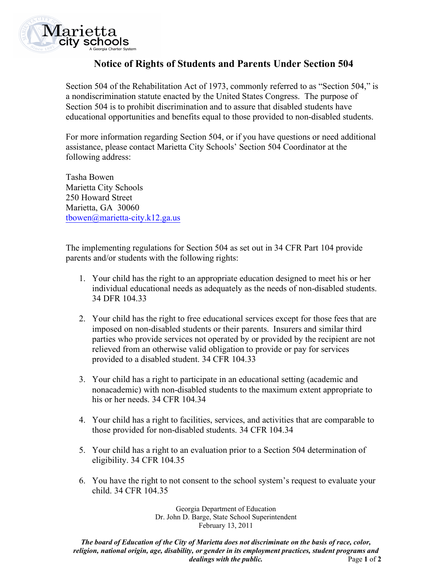

## **Notice of Rights of Students and Parents Under Section 504**

Section 504 of the Rehabilitation Act of 1973, commonly referred to as "Section 504," is a nondiscrimination statute enacted by the United States Congress. The purpose of Section 504 is to prohibit discrimination and to assure that disabled students have educational opportunities and benefits equal to those provided to non-disabled students.

For more information regarding Section 504, or if you have questions or need additional assistance, please contact Marietta City Schools' Section 504 Coordinator at the following address:

Tasha Bowen Marietta City Schools 250 Howard Street Marietta, GA 30060 tbowen@marietta-city.k12.ga.us

The implementing regulations for Section 504 as set out in 34 CFR Part 104 provide parents and/or students with the following rights:

- 1. Your child has the right to an appropriate education designed to meet his or her individual educational needs as adequately as the needs of non-disabled students. 34 DFR 104.33
- 2. Your child has the right to free educational services except for those fees that are imposed on non-disabled students or their parents. Insurers and similar third parties who provide services not operated by or provided by the recipient are not relieved from an otherwise valid obligation to provide or pay for services provided to a disabled student. 34 CFR 104.33
- 3. Your child has a right to participate in an educational setting (academic and nonacademic) with non-disabled students to the maximum extent appropriate to his or her needs. 34 CFR 104.34
- 4. Your child has a right to facilities, services, and activities that are comparable to those provided for non-disabled students. 34 CFR 104.34
- 5. Your child has a right to an evaluation prior to a Section 504 determination of eligibility. 34 CFR 104.35
- 6. You have the right to not consent to the school system's request to evaluate your child. 34 CFR 104.35

Georgia Department of Education Dr. John D. Barge, State School Superintendent February 13, 2011

*The board of Education of the City of Marietta does not discriminate on the basis of race, color, religion, national origin, age, disability, or gender in its employment practices, student programs and dealings with the public.* Page 1 of 2